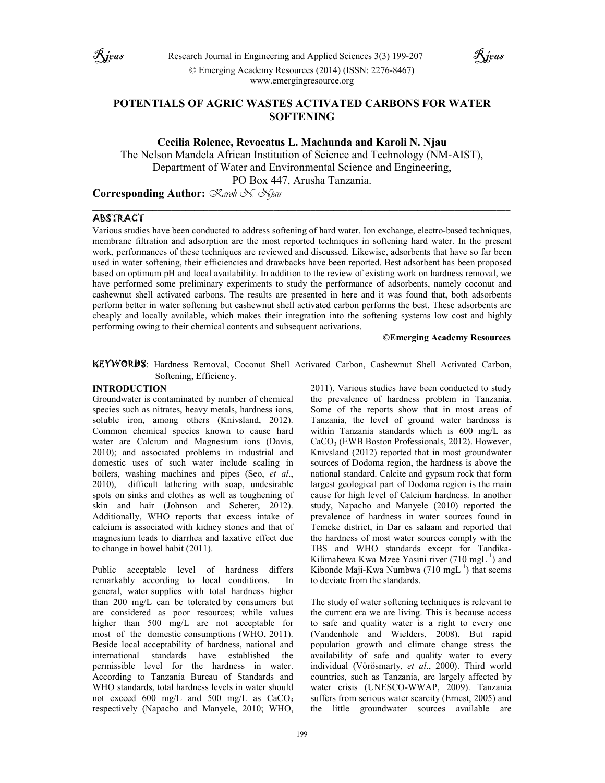



# **POTENTIALS OF AGRIC WASTES ACTIVATED CARBONS FOR WATER SOFTENING**

**Cecilia Rolence, Revocatus L. Machunda and Karoli N. Njau** 

The Nelson Mandela African Institution of Science and Technology (NM-AIST), Department of Water and Environmental Science and Engineering, PO Box 447, Arusha Tanzania.

**\_\_\_\_\_\_\_\_\_\_\_\_\_\_\_\_\_\_\_\_\_\_\_\_\_\_\_\_\_\_\_\_\_\_\_\_\_\_\_\_\_\_\_\_\_\_\_\_\_\_\_\_\_\_\_\_\_\_\_\_\_\_\_\_\_\_\_\_\_\_\_\_\_\_\_\_\_\_\_\_\_\_\_\_\_\_\_\_\_\_** 

**Corresponding Author:** *Karoli N. Njau*

# ABSTRACT

Various studies have been conducted to address softening of hard water. Ion exchange, electro-based techniques, membrane filtration and adsorption are the most reported techniques in softening hard water. In the present work, performances of these techniques are reviewed and discussed. Likewise, adsorbents that have so far been used in water softening, their efficiencies and drawbacks have been reported. Best adsorbent has been proposed based on optimum pH and local availability. In addition to the review of existing work on hardness removal, we have performed some preliminary experiments to study the performance of adsorbents, namely coconut and cashewnut shell activated carbons. The results are presented in here and it was found that, both adsorbents perform better in water softening but cashewnut shell activated carbon performs the best. These adsorbents are cheaply and locally available, which makes their integration into the softening systems low cost and highly performing owing to their chemical contents and subsequent activations.

### **©Emerging Academy Resources**

KEYWORDS: Hardness Removal, Coconut Shell Activated Carbon, Cashewnut Shell Activated Carbon, Softening, Efficiency.

# **INTRODUCTION**

Groundwater is contaminated by number of chemical species such as nitrates, heavy metals, hardness ions, soluble iron, among others (Knivsland, 2012). Common chemical species known to cause hard water are Calcium and Magnesium ions (Davis, 2010); and associated problems in industrial and domestic uses of such water include scaling in boilers, washing machines and pipes (Seo, *et al*., 2010), difficult lathering with soap, undesirable spots on sinks and clothes as well as toughening of skin and hair (Johnson and Scherer, 2012). Additionally, WHO reports that excess intake of calcium is associated with kidney stones and that of magnesium leads to diarrhea and laxative effect due to change in bowel habit (2011).

Public acceptable level of hardness differs remarkably according to local conditions. In general, water supplies with total hardness higher than 200 mg/L can be tolerated by consumers but are considered as poor resources; while values higher than 500 mg/L are not acceptable for most of the domestic consumptions (WHO, 2011). Beside local acceptability of hardness, national and international standards have established the permissible level for the hardness in water. According to Tanzania Bureau of Standards and WHO standards, total hardness levels in water should not exceed 600 mg/L and 500 mg/L as  $CaCO<sub>3</sub>$ respectively (Napacho and Manyele, 2010; WHO,

2011). Various studies have been conducted to study the prevalence of hardness problem in Tanzania. Some of the reports show that in most areas of Tanzania, the level of ground water hardness is within Tanzania standards which is 600 mg/L as CaCO<sub>3</sub> (EWB Boston Professionals, 2012). However, Knivsland (2012) reported that in most groundwater sources of Dodoma region, the hardness is above the national standard. Calcite and gypsum rock that form largest geological part of Dodoma region is the main cause for high level of Calcium hardness. In another study, Napacho and Manyele (2010) reported the prevalence of hardness in water sources found in Temeke district, in Dar es salaam and reported that the hardness of most water sources comply with the TBS and WHO standards except for Tandika-Kilimahewa Kwa Mzee Yasini river  $(710 \text{ mgL}^{-1})$  and Kibonde Maji-Kwa Numbwa (710 mg $L^{-1}$ ) that seems to deviate from the standards.

The study of water softening techniques is relevant to the current era we are living. This is because access to safe and quality water is a right to every one (Vandenhole and Wielders, 2008). But rapid population growth and climate change stress the availability of safe and quality water to every individual (Vörösmarty, *et al*., 2000). Third world countries, such as Tanzania, are largely affected by water crisis (UNESCO-WWAP, 2009). Tanzania suffers from serious water scarcity (Ernest, 2005) and the little groundwater sources available are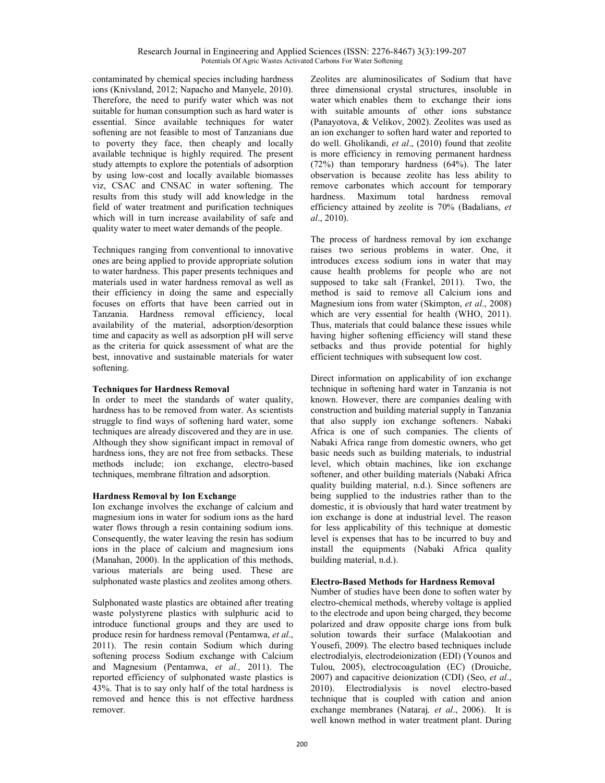contaminated by chemical species including hardness ions (Knivsland, 2012; Napacho and Manyele, 2010). Therefore, the need to purify water which was not suitable for human consumption such as hard water is essential. Since available techniques for water softening are not feasible to most of Tanzanians due to poverty they face, then cheaply and locally available technique is highly required. The present study attempts to explore the potentials of adsorption by using low-cost and locally available biomasses viz, CSAC and CNSAC in water softening. The results from this study will add knowledge in the field of water treatment and purification techniques which will in turn increase availability of safe and quality water to meet water demands of the people.

Techniques ranging from conventional to innovative ones are being applied to provide appropriate solution to water hardness. This paper presents techniques and materials used in water hardness removal as well as their efficiency in doing the same and especially focuses on efforts that have been carried out in Tanzania. Hardness removal efficiency, local availability of the material, adsorption/desorption time and capacity as well as adsorption pH will serve as the criteria for quick assessment of what are the best, innovative and sustainable materials for water softening.

# **Techniques for Hardness Removal**

In order to meet the standards of water quality, hardness has to be removed from water. As scientists struggle to find ways of softening hard water, some techniques are already discovered and they are in use. Although they show significant impact in removal of hardness ions, they are not free from setbacks. These methods include; ion exchange, electro-based techniques, membrane filtration and adsorption.

# **Hardness Removal by Ion Exchange**

Ion exchange involves the exchange of calcium and magnesium ions in water for sodium ions as the hard water flows through a resin containing sodium ions. Consequently, the water leaving the resin has sodium ions in the place of calcium and magnesium ions (Manahan, 2000). In the application of this methods, various materials are being used. These are sulphonated waste plastics and zeolites among others.

Sulphonated waste plastics are obtained after treating waste polystyrene plastics with sulphuric acid to introduce functional groups and they are used to produce resin for hardness removal (Pentamwa, *et al*., 2011). The resin contain Sodium which during softening process Sodium exchange with Calcium and Magnesium (Pentamwa, *et al.,* 2011). The reported efficiency of sulphonated waste plastics is 43%. That is to say only half of the total hardness is removed and hence this is not effective hardness remover.

Zeolites are aluminosilicates of Sodium that have three dimensional crystal structures, insoluble in water which enables them to exchange their ions with suitable amounts of other ions substance (Panayotova, & Velikov, 2002). Zeolites was used as an ion exchanger to soften hard water and reported to do well. Gholikandi, *et al*., (2010) found that zeolite is more efficiency in removing permanent hardness (72%) than temporary hardness (64%). The later observation is because zeolite has less ability to remove carbonates which account for temporary hardness. Maximum total hardness removal efficiency attained by zeolite is 70% (Badalians, *et al*., 2010).

The process of hardness removal by ion exchange raises two serious problems in water. One, it introduces excess sodium ions in water that may cause health problems for people who are not supposed to take salt (Frankel, 2011). Two, the method is said to remove all Calcium ions and Magnesium ions from water (Skimpton, *et al*., 2008) which are very essential for health (WHO, 2011). Thus, materials that could balance these issues while having higher softening efficiency will stand these setbacks and thus provide potential for highly efficient techniques with subsequent low cost.

Direct information on applicability of ion exchange technique in softening hard water in Tanzania is not known. However, there are companies dealing with construction and building material supply in Tanzania that also supply ion exchange softeners. Nabaki Africa is one of such companies. The clients of Nabaki Africa range from domestic owners, who get basic needs such as building materials, to industrial level, which obtain machines, like ion exchange softener, and other building materials (Nabaki Africa quality building material, n.d.). Since softeners are being supplied to the industries rather than to the domestic, it is obviously that hard water treatment by ion exchange is done at industrial level. The reason for less applicability of this technique at domestic level is expenses that has to be incurred to buy and install the equipments (Nabaki Africa quality building material, n.d.).

# **Electro-Based Methods for Hardness Removal**

Number of studies have been done to soften water by electro-chemical methods, whereby voltage is applied to the electrode and upon being charged, they become polarized and draw opposite charge ions from bulk solution towards their surface (Malakootian and Yousefi, 2009). The electro based techniques include electrodialyis, electrodeionization (EDI) (Younos and Tulou, 2005), electrocoagulation (EC) (Drouiche, 2007) and capacitive deionization (CDI) (Seo, *et al*., 2010). Electrodialysis is novel electro-based technique that is coupled with cation and anion exchange membranes (Nataraj*, et al*., 2006). It is well known method in water treatment plant. During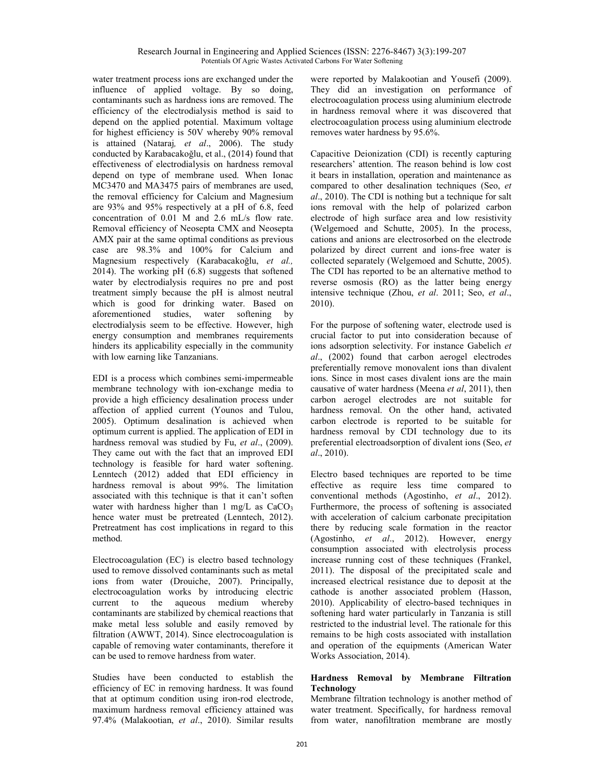water treatment process ions are exchanged under the influence of applied voltage. By so doing, contaminants such as hardness ions are removed. The efficiency of the electrodialysis method is said to depend on the applied potential. Maximum voltage for highest efficiency is 50V whereby 90% removal is attained (Nataraj*, et al*., 2006). The study conducted by Karabacakoğlu, et al., (2014) found that effectiveness of electrodialysis on hardness removal depend on type of membrane used. When Ionac MC3470 and MA3475 pairs of membranes are used, the removal efficiency for Calcium and Magnesium are 93% and 95% respectively at a pH of 6.8, feed concentration of 0.01 M and 2.6 mL/s flow rate. Removal efficiency of Neosepta CMX and Neosepta AMX pair at the same optimal conditions as previous case are 98.3% and 100% for Calcium and Magnesium respectively (Karabacakoğlu, *et al.,* 2014). The working pH (6.8) suggests that softened water by electrodialysis requires no pre and post treatment simply because the pH is almost neutral which is good for drinking water. Based on aforementioned studies, water softening by electrodialysis seem to be effective. However, high energy consumption and membranes requirements hinders its applicability especially in the community with low earning like Tanzanians.

EDI is a process which combines semi-impermeable membrane technology with ion-exchange media to provide a high efficiency desalination process under affection of applied current (Younos and Tulou, 2005). Optimum desalination is achieved when optimum current is applied. The application of EDI in hardness removal was studied by Fu, *et al*., (2009). They came out with the fact that an improved EDI technology is feasible for hard water softening. Lenntech (2012) added that EDI efficiency in hardness removal is about 99%. The limitation associated with this technique is that it can't soften water with hardness higher than  $1 \text{ mg/L}$  as  $CaCO<sub>3</sub>$ hence water must be pretreated (Lenntech, 2012). Pretreatment has cost implications in regard to this method.

Electrocoagulation (EC) is electro based technology used to remove dissolved contaminants such as metal ions from water (Drouiche, 2007). Principally, electrocoagulation works by introducing electric current to the aqueous medium whereby contaminants are stabilized by chemical reactions that make metal less soluble and easily removed by filtration (AWWT, 2014). Since electrocoagulation is capable of removing water contaminants, therefore it can be used to remove hardness from water.

Studies have been conducted to establish the efficiency of EC in removing hardness. It was found that at optimum condition using iron-rod electrode, maximum hardness removal efficiency attained was 97.4% (Malakootian, *et al*., 2010). Similar results

were reported by Malakootian and Yousefi (2009). They did an investigation on performance of electrocoagulation process using aluminium electrode in hardness removal where it was discovered that electrocoagulation process using aluminium electrode removes water hardness by 95.6%.

Capacitive Deionization (CDI) is recently capturing researchers' attention. The reason behind is low cost it bears in installation, operation and maintenance as compared to other desalination techniques (Seo, *et al*., 2010). The CDI is nothing but a technique for salt ions removal with the help of polarized carbon electrode of high surface area and low resistivity (Welgemoed and Schutte, 2005). In the process, cations and anions are electrosorbed on the electrode polarized by direct current and ions-free water is collected separately (Welgemoed and Schutte, 2005). The CDI has reported to be an alternative method to reverse osmosis (RO) as the latter being energy intensive technique (Zhou, *et al*. 2011; Seo, *et al*., 2010).

For the purpose of softening water, electrode used is crucial factor to put into consideration because of ions adsorption selectivity. For instance Gabelich *et al*., (2002) found that carbon aerogel electrodes preferentially remove monovalent ions than divalent ions. Since in most cases divalent ions are the main causative of water hardness (Meena *et al*, 2011), then carbon aerogel electrodes are not suitable for hardness removal. On the other hand, activated carbon electrode is reported to be suitable for hardness removal by CDI technology due to its preferential electroadsorption of divalent ions (Seo, *et al*., 2010).

Electro based techniques are reported to be time effective as require less time compared to conventional methods (Agostinho, *et al*., 2012). Furthermore, the process of softening is associated with acceleration of calcium carbonate precipitation there by reducing scale formation in the reactor (Agostinho, *et al*., 2012). However, energy consumption associated with electrolysis process increase running cost of these techniques (Frankel, 2011). The disposal of the precipitated scale and increased electrical resistance due to deposit at the cathode is another associated problem (Hasson, 2010). Applicability of electro-based techniques in softening hard water particularly in Tanzania is still restricted to the industrial level. The rationale for this remains to be high costs associated with installation and operation of the equipments (American Water Works Association, 2014).

# **Hardness Removal by Membrane Filtration Technology**

Membrane filtration technology is another method of water treatment. Specifically, for hardness removal from water, nanofiltration membrane are mostly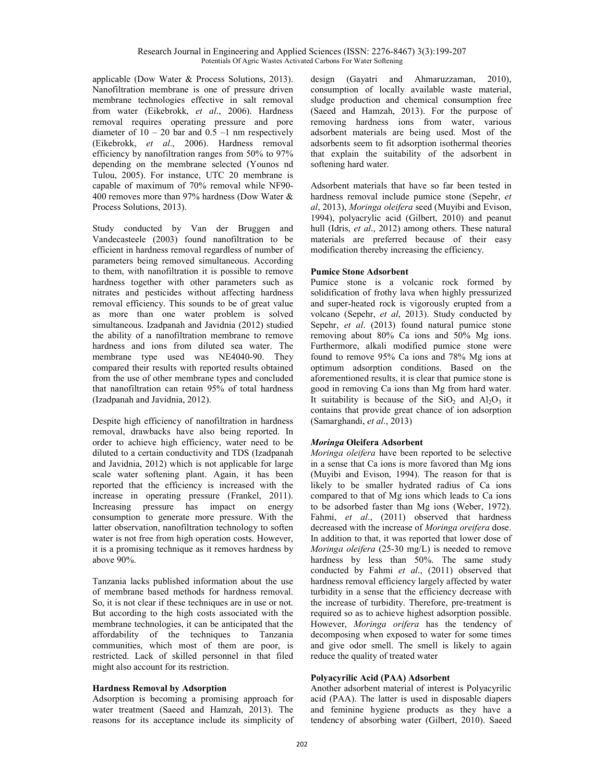applicable (Dow Water & Process Solutions, 2013). Nanofiltration membrane is one of pressure driven membrane technologies effective in salt removal from water (Eikebrokk, *et al*., 2006). Hardness removal requires operating pressure and pore diameter of  $10 - 20$  bar and  $0.5 -1$  nm respectively (Eikebrokk, *et al*., 2006). Hardness removal efficiency by nanofiltration ranges from 50% to 97% depending on the membrane selected (Younos nd Tulou, 2005). For instance, UTC 20 membrane is capable of maximum of 70% removal while NF90- 400 removes more than 97% hardness (Dow Water & Process Solutions, 2013).

Study conducted by Van der Bruggen and Vandecasteele (2003) found nanofiltration to be efficient in hardness removal regardless of number of parameters being removed simultaneous. According to them, with nanofiltration it is possible to remove hardness together with other parameters such as nitrates and pesticides without affecting hardness removal efficiency. This sounds to be of great value as more than one water problem is solved simultaneous. Izadpanah and Javidnia (2012) studied the ability of a nanofiltration membrane to remove hardness and ions from diluted sea water. The membrane type used was NE4040-90. They compared their results with reported results obtained from the use of other membrane types and concluded that nanofiltration can retain 95% of total hardness (Izadpanah and Javidnia, 2012).

Despite high efficiency of nanofiltration in hardness removal, drawbacks have also being reported. In order to achieve high efficiency, water need to be diluted to a certain conductivity and TDS (Izadpanah and Javidnia, 2012) which is not applicable for large scale water softening plant. Again, it has been reported that the efficiency is increased with the increase in operating pressure (Frankel, 2011). Increasing pressure has impact on energy consumption to generate more pressure. With the latter observation, nanofiltration technology to soften water is not free from high operation costs. However, it is a promising technique as it removes hardness by above 90%.

Tanzania lacks published information about the use of membrane based methods for hardness removal. So, it is not clear if these techniques are in use or not. But according to the high costs associated with the membrane technologies, it can be anticipated that the affordability of the techniques to Tanzania communities, which most of them are poor, is restricted. Lack of skilled personnel in that filed might also account for its restriction.

# **Hardness Removal by Adsorption**

Adsorption is becoming a promising approach for water treatment (Saeed and Hamzah, 2013). The reasons for its acceptance include its simplicity of design (Gayatri and Ahmaruzzaman, 2010), consumption of locally available waste material, sludge production and chemical consumption free (Saeed and Hamzah, 2013). For the purpose of removing hardness ions from water, various adsorbent materials are being used. Most of the adsorbents seem to fit adsorption isothermal theories that explain the suitability of the adsorbent in softening hard water.

Adsorbent materials that have so far been tested in hardness removal include pumice stone (Sepehr, *et al*, 2013), *Moringa oleifera* seed (Muyibi and Evison, 1994), polyacrylic acid (Gilbert, 2010) and peanut hull (Idris, *et al*., 2012) among others. These natural materials are preferred because of their easy modification thereby increasing the efficiency.

#### **Pumice Stone Adsorbent**

Pumice stone is a volcanic rock formed by solidification of frothy lava when highly pressurized and super-heated rock is vigorously erupted from a volcano (Sepehr, *et al*, 2013). Study conducted by Sepehr, *et al*. (2013) found natural pumice stone removing about 80% Ca ions and 50% Mg ions. Furthermore, alkali modified pumice stone were found to remove 95% Ca ions and 78% Mg ions at optimum adsorption conditions. Based on the aforementioned results, it is clear that pumice stone is good in removing Ca ions than Mg from hard water. It suitability is because of the  $SiO_2$  and  $Al_2O_3$  it contains that provide great chance of ion adsorption (Samarghandi, *et al*., 2013)

#### *Moringa* **Oleifera Adsorbent**

*Moringa oleifera* have been reported to be selective in a sense that Ca ions is more favored than Mg ions (Muyibi and Evison, 1994). The reason for that is likely to be smaller hydrated radius of Ca ions compared to that of Mg ions which leads to Ca ions to be adsorbed faster than Mg ions (Weber, 1972). Fahmi, *et al*., (2011) observed that hardness decreased with the increase of *Moringa oreifera* dose. In addition to that, it was reported that lower dose of *Moringa oleifera* (25-30 mg/L) is needed to remove hardness by less than 50%. The same study conducted by Fahmi *et al*., (2011) observed that hardness removal efficiency largely affected by water turbidity in a sense that the efficiency decrease with the increase of turbidity. Therefore, pre-treatment is required so as to achieve highest adsorption possible. However, *Moringa orifera* has the tendency of decomposing when exposed to water for some times and give odor smell. The smell is likely to again reduce the quality of treated water

# **Polyacyrilic Acid (PAA) Adsorbent**

Another adsorbent material of interest is Polyacyrilic acid (PAA). The latter is used in disposable diapers and feminine hygiene products as they have a tendency of absorbing water (Gilbert, 2010). Saeed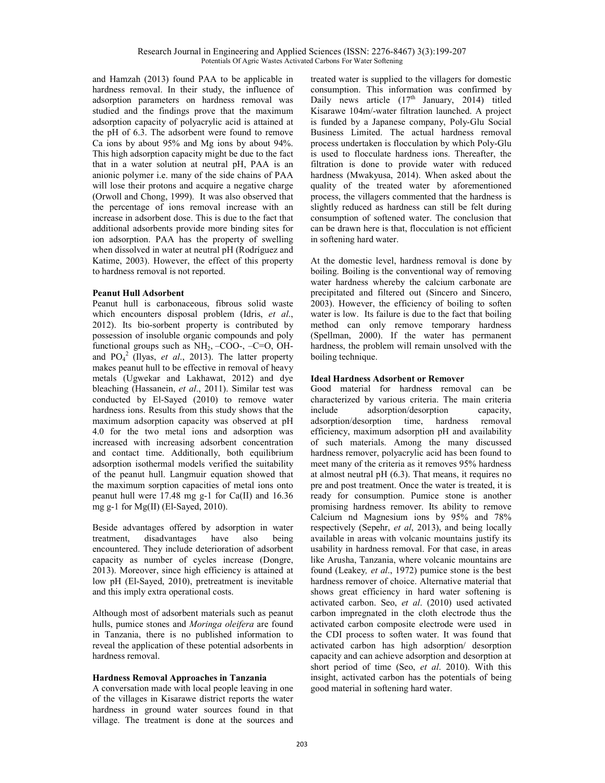and Hamzah (2013) found PAA to be applicable in hardness removal. In their study, the influence of adsorption parameters on hardness removal was studied and the findings prove that the maximum adsorption capacity of polyacrylic acid is attained at the pH of 6.3. The adsorbent were found to remove Ca ions by about 95% and Mg ions by about 94%. This high adsorption capacity might be due to the fact that in a water solution at neutral pH, PAA is an anionic polymer i.e. many of the side chains of PAA will lose their protons and acquire a negative charge (Orwoll and Chong, 1999). It was also observed that the percentage of ions removal increase with an increase in adsorbent dose. This is due to the fact that additional adsorbents provide more binding sites for ion adsorption. PAA has the property of swelling when dissolved in water at neutral pH (Rodríguez and Katime, 2003). However, the effect of this property to hardness removal is not reported.

# **Peanut Hull Adsorbent**

Peanut hull is carbonaceous, fibrous solid waste which encounters disposal problem (Idris, *et al*., 2012). Its bio-sorbent property is contributed by possession of insoluble organic compounds and poly functional groups such as  $NH_2$ , -COO-, -C=O, OHand PO<sub>4</sub><sup>2</sup> (Ilyas, *et al.*, 2013). The latter property makes peanut hull to be effective in removal of heavy metals (Ugwekar and Lakhawat, 2012) and dye bleaching (Hassanein, *et al*., 2011). Similar test was conducted by El-Sayed (2010) to remove water hardness ions. Results from this study shows that the maximum adsorption capacity was observed at pH 4.0 for the two metal ions and adsorption was increased with increasing adsorbent concentration and contact time. Additionally, both equilibrium adsorption isothermal models verified the suitability of the peanut hull. Langmuir equation showed that the maximum sorption capacities of metal ions onto peanut hull were 17.48 mg g-1 for Ca(II) and 16.36 mg g-1 for Mg(II) (El-Sayed, 2010).

Beside advantages offered by adsorption in water treatment, disadvantages have also being encountered. They include deterioration of adsorbent capacity as number of cycles increase (Dongre, 2013). Moreover, since high efficiency is attained at low pH (El-Sayed, 2010), pretreatment is inevitable and this imply extra operational costs.

Although most of adsorbent materials such as peanut hulls, pumice stones and *Moringa oleifera* are found in Tanzania, there is no published information to reveal the application of these potential adsorbents in hardness removal.

# **Hardness Removal Approaches in Tanzania**

A conversation made with local people leaving in one of the villages in Kisarawe district reports the water hardness in ground water sources found in that village. The treatment is done at the sources and

treated water is supplied to the villagers for domestic consumption. This information was confirmed by Daily news article  $(17<sup>th</sup>$  January, 2014) titled Kisarawe 104m/-water filtration launched. A project is funded by a Japanese company, Poly-Glu Social Business Limited. The actual hardness removal process undertaken is flocculation by which Poly-Glu is used to flocculate hardness ions. Thereafter, the filtration is done to provide water with reduced hardness (Mwakyusa, 2014). When asked about the quality of the treated water by aforementioned process, the villagers commented that the hardness is slightly reduced as hardness can still be felt during consumption of softened water. The conclusion that can be drawn here is that, flocculation is not efficient in softening hard water.

At the domestic level, hardness removal is done by boiling. Boiling is the conventional way of removing water hardness whereby the calcium carbonate are precipitated and filtered out (Sincero and Sincero, 2003). However, the efficiency of boiling to soften water is low. Its failure is due to the fact that boiling method can only remove temporary hardness (Spellman, 2000). If the water has permanent hardness, the problem will remain unsolved with the boiling technique.

# **Ideal Hardness Adsorbent or Remover**

Good material for hardness removal can be characterized by various criteria. The main criteria include adsorption/desorption capacity, adsorption/desorption time, hardness removal efficiency, maximum adsorption pH and availability of such materials. Among the many discussed hardness remover, polyacrylic acid has been found to meet many of the criteria as it removes 95% hardness at almost neutral pH (6.3). That means, it requires no pre and post treatment. Once the water is treated, it is ready for consumption. Pumice stone is another promising hardness remover. Its ability to remove Calcium nd Magnesium ions by 95% and 78% respectively (Sepehr, *et al*, 2013), and being locally available in areas with volcanic mountains justify its usability in hardness removal. For that case, in areas like Arusha, Tanzania, where volcanic mountains are found (Leakey*, et al*., 1972) pumice stone is the best hardness remover of choice. Alternative material that shows great efficiency in hard water softening is activated carbon. Seo, *et al*. (2010) used activated carbon impregnated in the cloth electrode thus the activated carbon composite electrode were used in the CDI process to soften water. It was found that activated carbon has high adsorption/ desorption capacity and can achieve adsorption and desorption at short period of time (Seo, *et al*. 2010). With this insight, activated carbon has the potentials of being good material in softening hard water.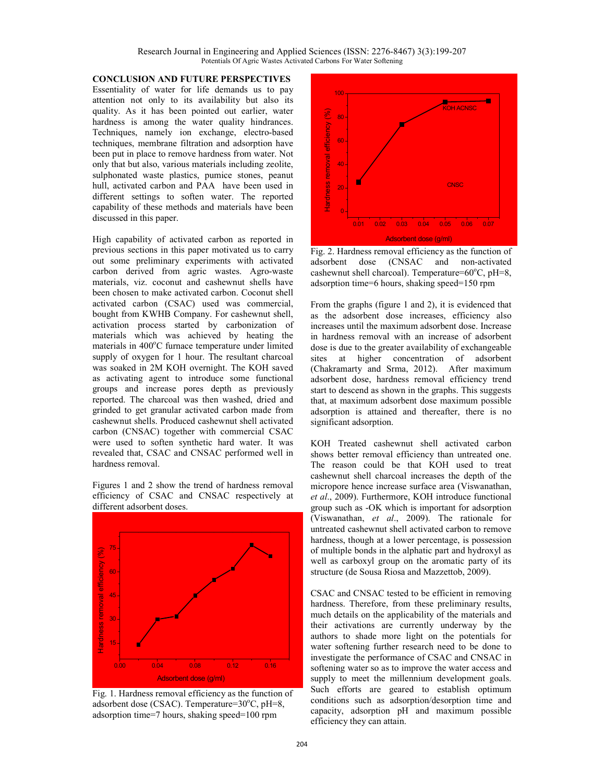Research Journal in Engineering and Applied Sciences (ISSN: 2276-8467) 3(3):199-207 Potentials Of Agric Wastes Activated Carbons For Water Softening

**CONCLUSION AND FUTURE PERSPECTIVES**  Essentiality of water for life demands us to pay attention not only to its availability but also its quality. As it has been pointed out earlier, water hardness is among the water quality hindrances. Techniques, namely ion exchange, electro-based techniques, membrane filtration and adsorption have been put in place to remove hardness from water. Not only that but also, various materials including zeolite, sulphonated waste plastics, pumice stones, peanut hull, activated carbon and PAA have been used in different settings to soften water. The reported capability of these methods and materials have been discussed in this paper.

High capability of activated carbon as reported in previous sections in this paper motivated us to carry out some preliminary experiments with activated carbon derived from agric wastes. Agro-waste materials, viz. coconut and cashewnut shells have been chosen to make activated carbon. Coconut shell activated carbon (CSAC) used was commercial, bought from KWHB Company. For cashewnut shell, activation process started by carbonization of materials which was achieved by heating the materials in  $400^{\circ}$ C furnace temperature under limited supply of oxygen for 1 hour. The resultant charcoal was soaked in 2M KOH overnight. The KOH saved as activating agent to introduce some functional groups and increase pores depth as previously reported. The charcoal was then washed, dried and grinded to get granular activated carbon made from cashewnut shells. Produced cashewnut shell activated carbon (CNSAC) together with commercial CSAC were used to soften synthetic hard water. It was revealed that, CSAC and CNSAC performed well in hardness removal.

Figures 1 and 2 show the trend of hardness removal efficiency of CSAC and CNSAC respectively at different adsorbent doses.



Fig. 1. Hardness removal efficiency as the function of adsorbent dose (CSAC). Temperature= $30^{\circ}$ C, pH=8, adsorption time=7 hours, shaking speed=100 rpm



Fig. 2. Hardness removal efficiency as the function of adsorbent dose (CNSAC and non-activated cashewnut shell charcoal). Temperature= $60^{\circ}$ C, pH=8, adsorption time=6 hours, shaking speed=150 rpm

From the graphs (figure 1 and 2), it is evidenced that as the adsorbent dose increases, efficiency also increases until the maximum adsorbent dose. Increase in hardness removal with an increase of adsorbent dose is due to the greater availability of exchangeable sites at higher concentration of adsorbent (Chakramarty and Srma, 2012). After maximum adsorbent dose, hardness removal efficiency trend start to descend as shown in the graphs. This suggests that, at maximum adsorbent dose maximum possible adsorption is attained and thereafter, there is no significant adsorption.

KOH Treated cashewnut shell activated carbon shows better removal efficiency than untreated one. The reason could be that KOH used to treat cashewnut shell charcoal increases the depth of the micropore hence increase surface area (Viswanathan, *et al*., 2009). Furthermore, KOH introduce functional group such as -OK which is important for adsorption (Viswanathan, *et al*., 2009). The rationale for untreated cashewnut shell activated carbon to remove hardness, though at a lower percentage, is possession of multiple bonds in the alphatic part and hydroxyl as well as carboxyl group on the aromatic party of its structure (de Sousa Riosa and Mazzettob, 2009).

CSAC and CNSAC tested to be efficient in removing hardness. Therefore, from these preliminary results, much details on the applicability of the materials and their activations are currently underway by the authors to shade more light on the potentials for water softening further research need to be done to investigate the performance of CSAC and CNSAC in softening water so as to improve the water access and supply to meet the millennium development goals. Such efforts are geared to establish optimum conditions such as adsorption/desorption time and capacity, adsorption pH and maximum possible efficiency they can attain.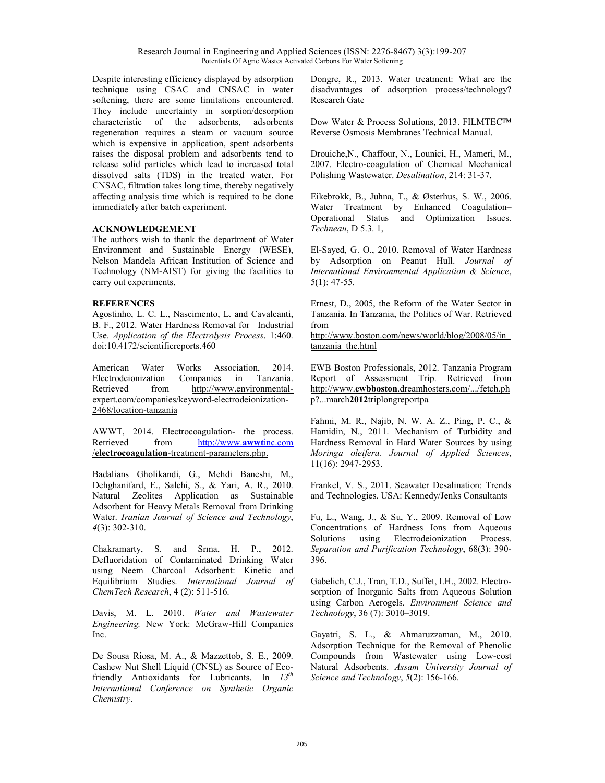Despite interesting efficiency displayed by adsorption technique using CSAC and CNSAC in water softening, there are some limitations encountered. They include uncertainty in sorption/desorption characteristic of the adsorbents, adsorbents regeneration requires a steam or vacuum source which is expensive in application, spent adsorbents raises the disposal problem and adsorbents tend to release solid particles which lead to increased total dissolved salts (TDS) in the treated water. For CNSAC, filtration takes long time, thereby negatively affecting analysis time which is required to be done immediately after batch experiment.

# **ACKNOWLEDGEMENT**

The authors wish to thank the department of Water Environment and Sustainable Energy (WESE), Nelson Mandela African Institution of Science and Technology (NM-AIST) for giving the facilities to carry out experiments.

# **REFERENCES**

Agostinho, L. C. L., Nascimento, L. and Cavalcanti, B. F., 2012. Water Hardness Removal for Industrial Use. *Application of the Electrolysis Process*. 1:460. doi:10.4172/scientificreports.460

American Water Works Association, 2014. Electrodeionization Companies in Tanzania. Retrieved from http://www.environmentalexpert.com/companies/keyword-electrodeionization-2468/location-tanzania

AWWT, 2014. Electrocoagulation- the process. Retrieved from http://www.**awwt**inc.com /**electrocoagulation**-treatment-parameters.php .

Badalians Gholikandi, G., Mehdi Baneshi, M., Dehghanifard, E., Salehi, S., & Yari, A. R., 2010. Natural Zeolites Application as Sustainable Adsorbent for Heavy Metals Removal from Drinking Water. *Iranian Journal of Science and Technology*, *4*(3): 302-310.

Chakramarty, S. and Srma, H. P., 2012. Defluoridation of Contaminated Drinking Water using Neem Charcoal Adsorbent: Kinetic and Equilibrium Studies. *International Journal of ChemTech Research*, 4 (2): 511-516.

Davis, M. L. 2010. *Water and Wastewater Engineering.* New York: McGraw-Hill Companies Inc.

De Sousa Riosa, M. A., & Mazzettob, S. E., 2009. Cashew Nut Shell Liquid (CNSL) as Source of Ecofriendly Antioxidants for Lubricants. In *13th International Conference on Synthetic Organic Chemistry*.

Dongre, R., 2013. Water treatment: What are the disadvantages of adsorption process/technology? Research Gate

Dow Water & Process Solutions, 2013. FILMTEC™ Reverse Osmosis Membranes Technical Manual.

Drouiche,N., Chaffour, N., Lounici, H., Mameri, M., 2007. Electro-coagulation of Chemical Mechanical Polishing Wastewater. *Desalination*, 214: 31-37.

Eikebrokk, B., Juhna, T., & Østerhus, S. W., 2006. Water Treatment by Enhanced Coagulation– Operational Status and Optimization Issues. *Techneau*, D 5.3. 1,

El-Sayed, G. O., 2010. Removal of Water Hardness by Adsorption on Peanut Hull. *Journal of International Environmental Application & Science*, 5(1): 47-55.

Ernest, D., 2005, the Reform of the Water Sector in Tanzania. In Tanzania, the Politics of War. Retrieved from

http://www.boston.com/news/world/blog/2008/05/in\_ tanzania\_the.html

EWB Boston Professionals, 2012. Tanzania Program Report of Assessment Trip. Retrieved from http://www.**ewbboston**.dreamhosters.com/.../fetch.ph p?...march**2012**triplongreportpa

Fahmi, M. R., Najib, N. W. A. Z., Ping, P. C., & Hamidin, N., 2011. Mechanism of Turbidity and Hardness Removal in Hard Water Sources by using *Moringa oleifera. Journal of Applied Sciences*, 11(16): 2947-2953.

Frankel, V. S., 2011. Seawater Desalination: Trends and Technologies. USA: Kennedy/Jenks Consultants

Fu, L., Wang, J., & Su, Y., 2009. Removal of Low Concentrations of Hardness Ions from Aqueous Solutions using Electrodeionization Process. *Separation and Purification Technology*, 68(3): 390- 396.

Gabelich, C.J., Tran, T.D., Suffet, I.H., 2002. Electrosorption of Inorganic Salts from Aqueous Solution using Carbon Aerogels. *Environment Science and Technology*, 36 (7): 3010–3019.

Gayatri, S. L., & Ahmaruzzaman, M., 2010. Adsorption Technique for the Removal of Phenolic Compounds from Wastewater using Low-cost Natural Adsorbents. *Assam University Journal of Science and Technology*, *5*(2): 156-166.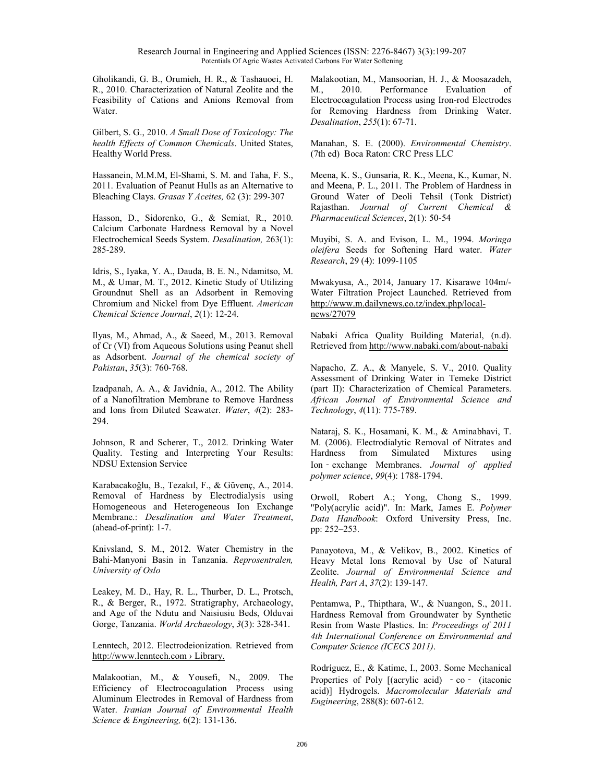Gholikandi, G. B., Orumieh, H. R., & Tashauoei, H. R., 2010. Characterization of Natural Zeolite and the Feasibility of Cations and Anions Removal from Water.

Gilbert, S. G., 2010. *A Small Dose of Toxicology: The health Effects of Common Chemicals*. United States, Healthy World Press.

Hassanein, M.M.M, El-Shami, S. M. and Taha, F. S., 2011. Evaluation of Peanut Hulls as an Alternative to Bleaching Clays. *Grasas Y Aceites,* 62 (3): 299-307

Hasson, D., Sidorenko, G., & Semiat, R., 2010. Calcium Carbonate Hardness Removal by a Novel Electrochemical Seeds System. *Desalination,* 263(1): 285-289.

Idris, S., Iyaka, Y. A., Dauda, B. E. N., Ndamitso, M. M., & Umar, M. T., 2012. Kinetic Study of Utilizing Groundnut Shell as an Adsorbent in Removing Chromium and Nickel from Dye Effluent. *American Chemical Science Journal*, *2*(1): 12-24.

Ilyas, M., Ahmad, A., & Saeed, M., 2013. Removal of Cr (VI) from Aqueous Solutions using Peanut shell as Adsorbent. *Journal of the chemical society of Pakistan*, *35*(3): 760-768.

Izadpanah, A. A., & Javidnia, A., 2012. The Ability of a Nanofiltration Membrane to Remove Hardness and Ions from Diluted Seawater. *Water*, *4*(2): 283- 294.

Johnson, R and Scherer, T., 2012. Drinking Water Quality. Testing and Interpreting Your Results: NDSU Extension Service

Karabacakoğlu, B., Tezakıl, F., & Güvenç, A., 2014. Removal of Hardness by Electrodialysis using Homogeneous and Heterogeneous Ion Exchange Membrane.: *Desalination and Water Treatment*, (ahead-of-print): 1-7.

Knivsland, S. M., 2012. Water Chemistry in the Bahi-Manyoni Basin in Tanzania. *Reprosentralen, University of Oslo* 

Leakey, M. D., Hay, R. L., Thurber, D. L., Protsch, R., & Berger, R., 1972. Stratigraphy, Archaeology, and Age of the Ndutu and Naisiusiu Beds, Olduvai Gorge, Tanzania. *World Archaeology*, *3*(3): 328-341.

Lenntech, 2012. Electrodeionization. Retrieved from http://www.lenntech.com › Library.

Malakootian, M., & Yousefi, N., 2009. The Efficiency of Electrocoagulation Process using Aluminum Electrodes in Removal of Hardness from Water. *Iranian Journal of Environmental Health Science & Engineering,* 6(2): 131-136.

Malakootian, M., Mansoorian, H. J., & Moosazadeh, M., 2010. Performance Evaluation of Electrocoagulation Process using Iron-rod Electrodes for Removing Hardness from Drinking Water. *Desalination*, *255*(1): 67-71.

Manahan, S. E. (2000). *Environmental Chemistry*. (7th ed) Boca Raton: CRC Press LLC

Meena, K. S., Gunsaria, R. K., Meena, K., Kumar, N. and Meena, P. L., 2011. The Problem of Hardness in Ground Water of Deoli Tehsil (Tonk District) Rajasthan. *Journal of Current Chemical & Pharmaceutical Sciences*, 2(1): 50-54

Muyibi, S. A. and Evison, L. M., 1994. *Moringa oleifera* Seeds for Softening Hard water. *Water Research*, 29 (4): 1099-1105

Mwakyusa, A., 2014, January 17. Kisarawe 104m/- Water Filtration Project Launched. Retrieved from http://www.m.dailynews.co.tz/index.php/localnews/27079

Nabaki Africa Quality Building Material, (n.d). Retrieved from http://www.nabaki.com/about-nabaki

Napacho, Z. A., & Manyele, S. V., 2010. Quality Assessment of Drinking Water in Temeke District (part II): Characterization of Chemical Parameters. *African Journal of Environmental Science and Technology*, *4*(11): 775-789.

Nataraj, S. K., Hosamani, K. M., & Aminabhavi, T. M. (2006). Electrodialytic Removal of Nitrates and Hardness from Simulated Mixtures using Ion‐exchange Membranes. *Journal of applied polymer science*, *99*(4): 1788-1794.

Orwoll, Robert A.; Yong, Chong S., 1999. "Poly(acrylic acid)". In: Mark, James E. *Polymer Data Handbook*: Oxford University Press, Inc. pp: 252–253.

Panayotova, M., & Velikov, B., 2002. Kinetics of Heavy Metal Ions Removal by Use of Natural Zeolite. *Journal of Environmental Science and Health, Part A*, *37*(2): 139-147.

Pentamwa, P., Thipthara, W., & Nuangon, S., 2011. Hardness Removal from Groundwater by Synthetic Resin from Waste Plastics. In: *Proceedings of 2011 4th International Conference on Environmental and Computer Science (ICECS 2011)*.

Rodríguez, E., & Katime, I., 2003. Some Mechanical Properties of Poly [(acrylic acid) - co - (itaconic acid)] Hydrogels. *Macromolecular Materials and Engineering*, 288(8): 607-612.